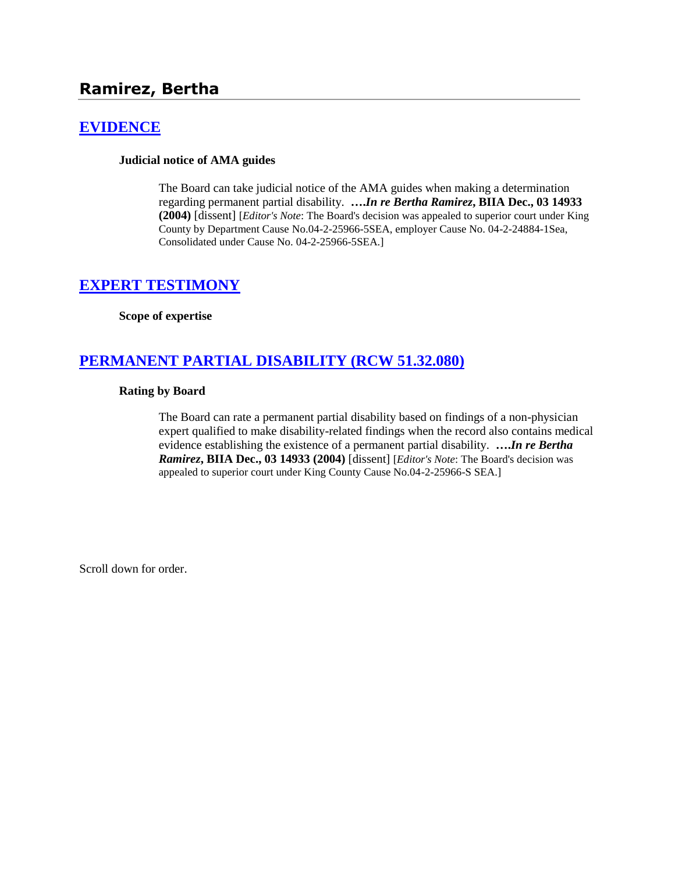# **Ramirez, Bertha**

## **[EVIDENCE](http://www.biia.wa.gov/SDSubjectIndex.html#EVIDENCE)**

### **Judicial notice of AMA guides**

The Board can take judicial notice of the AMA guides when making a determination regarding permanent partial disability. **….***In re Bertha Ramirez***, BIIA Dec., 03 14933 (2004)** [dissent] [*Editor's Note*: The Board's decision was appealed to superior court under King County by Department Cause No.04-2-25966-5SEA, employer Cause No. 04-2-24884-1Sea, Consolidated under Cause No. 04-2-25966-5SEA.]

## **[EXPERT TESTIMONY](http://www.biia.wa.gov/SDSubjectIndex.html#EXPERT_TESTIMONY)**

#### **Scope of expertise**

## **[PERMANENT PARTIAL DISABILITY \(RCW 51.32.080\)](http://www.biia.wa.gov/SDSubjectIndex.html#PERMANENT_PARTIAL_DISABILITY)**

#### **Rating by Board**

The Board can rate a permanent partial disability based on findings of a non-physician expert qualified to make disability-related findings when the record also contains medical evidence establishing the existence of a permanent partial disability. **….***In re Bertha Ramirez***, BIIA Dec., 03 14933 (2004)** [dissent] [*Editor's Note*: The Board's decision was appealed to superior court under King County Cause No.04-2-25966-S SEA.]

Scroll down for order.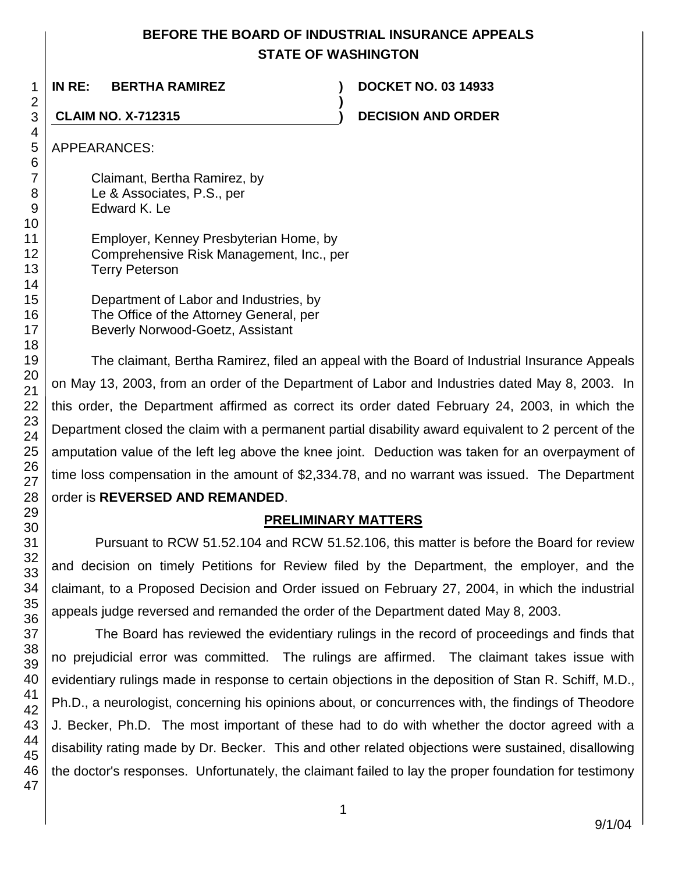## **BEFORE THE BOARD OF INDUSTRIAL INSURANCE APPEALS STATE OF WASHINGTON**

**)**

**IN RE: BERTHA RAMIREZ ) DOCKET NO. 03 14933**

**CLAIM NO. X-712315 ) DECISION AND ORDER**

APPEARANCES:

Claimant, Bertha Ramirez, by Le & Associates, P.S., per Edward K. Le

Employer, Kenney Presbyterian Home, by Comprehensive Risk Management, Inc., per Terry Peterson

Department of Labor and Industries, by The Office of the Attorney General, per Beverly Norwood-Goetz, Assistant

The claimant, Bertha Ramirez, filed an appeal with the Board of Industrial Insurance Appeals on May 13, 2003, from an order of the Department of Labor and Industries dated May 8, 2003. In this order, the Department affirmed as correct its order dated February 24, 2003, in which the Department closed the claim with a permanent partial disability award equivalent to 2 percent of the amputation value of the left leg above the knee joint. Deduction was taken for an overpayment of time loss compensation in the amount of \$2,334.78, and no warrant was issued. The Department order is **REVERSED AND REMANDED**.

# **PRELIMINARY MATTERS**

Pursuant to RCW 51.52.104 and RCW 51.52.106, this matter is before the Board for review and decision on timely Petitions for Review filed by the Department, the employer, and the claimant, to a Proposed Decision and Order issued on February 27, 2004, in which the industrial appeals judge reversed and remanded the order of the Department dated May 8, 2003.

The Board has reviewed the evidentiary rulings in the record of proceedings and finds that no prejudicial error was committed. The rulings are affirmed. The claimant takes issue with evidentiary rulings made in response to certain objections in the deposition of Stan R. Schiff, M.D., Ph.D., a neurologist, concerning his opinions about, or concurrences with, the findings of Theodore J. Becker, Ph.D. The most important of these had to do with whether the doctor agreed with a disability rating made by Dr. Becker. This and other related objections were sustained, disallowing the doctor's responses. Unfortunately, the claimant failed to lay the proper foundation for testimony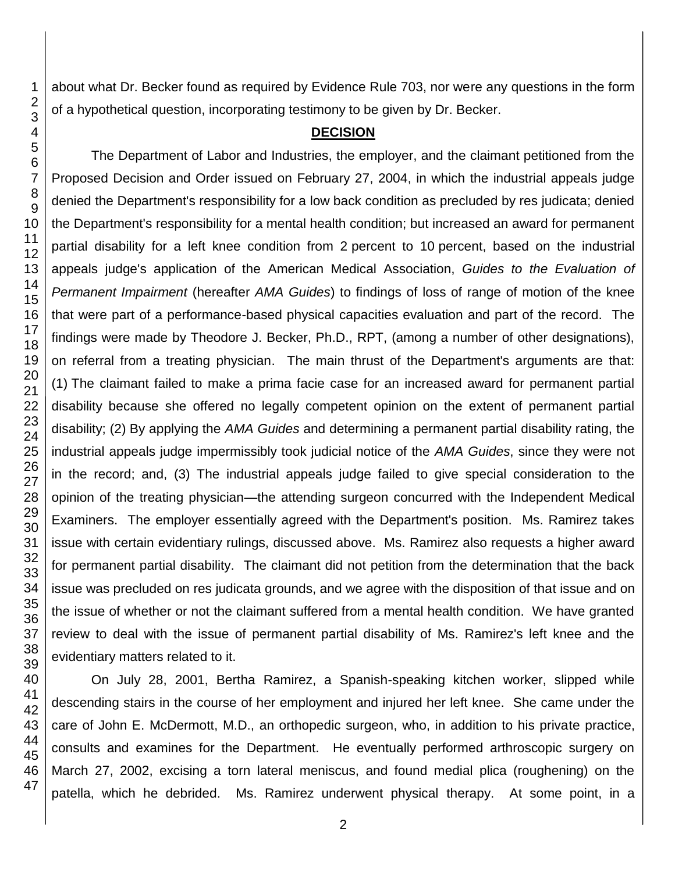about what Dr. Becker found as required by Evidence Rule 703, nor were any questions in the form of a hypothetical question, incorporating testimony to be given by Dr. Becker.

## **DECISION**

The Department of Labor and Industries, the employer, and the claimant petitioned from the Proposed Decision and Order issued on February 27, 2004, in which the industrial appeals judge denied the Department's responsibility for a low back condition as precluded by res judicata; denied the Department's responsibility for a mental health condition; but increased an award for permanent partial disability for a left knee condition from 2 percent to 10 percent, based on the industrial appeals judge's application of the American Medical Association, *Guides to the Evaluation of Permanent Impairment* (hereafter *AMA Guides*) to findings of loss of range of motion of the knee that were part of a performance-based physical capacities evaluation and part of the record. The findings were made by Theodore J. Becker, Ph.D., RPT, (among a number of other designations), on referral from a treating physician. The main thrust of the Department's arguments are that: (1) The claimant failed to make a prima facie case for an increased award for permanent partial disability because she offered no legally competent opinion on the extent of permanent partial disability; (2) By applying the *AMA Guides* and determining a permanent partial disability rating, the industrial appeals judge impermissibly took judicial notice of the *AMA Guides*, since they were not in the record; and, (3) The industrial appeals judge failed to give special consideration to the opinion of the treating physician—the attending surgeon concurred with the Independent Medical Examiners. The employer essentially agreed with the Department's position. Ms. Ramirez takes issue with certain evidentiary rulings, discussed above. Ms. Ramirez also requests a higher award for permanent partial disability. The claimant did not petition from the determination that the back issue was precluded on res judicata grounds, and we agree with the disposition of that issue and on the issue of whether or not the claimant suffered from a mental health condition. We have granted review to deal with the issue of permanent partial disability of Ms. Ramirez's left knee and the evidentiary matters related to it.

On July 28, 2001, Bertha Ramirez, a Spanish-speaking kitchen worker, slipped while descending stairs in the course of her employment and injured her left knee. She came under the care of John E. McDermott, M.D., an orthopedic surgeon, who, in addition to his private practice, consults and examines for the Department. He eventually performed arthroscopic surgery on March 27, 2002, excising a torn lateral meniscus, and found medial plica (roughening) on the patella, which he debrided. Ms. Ramirez underwent physical therapy. At some point, in a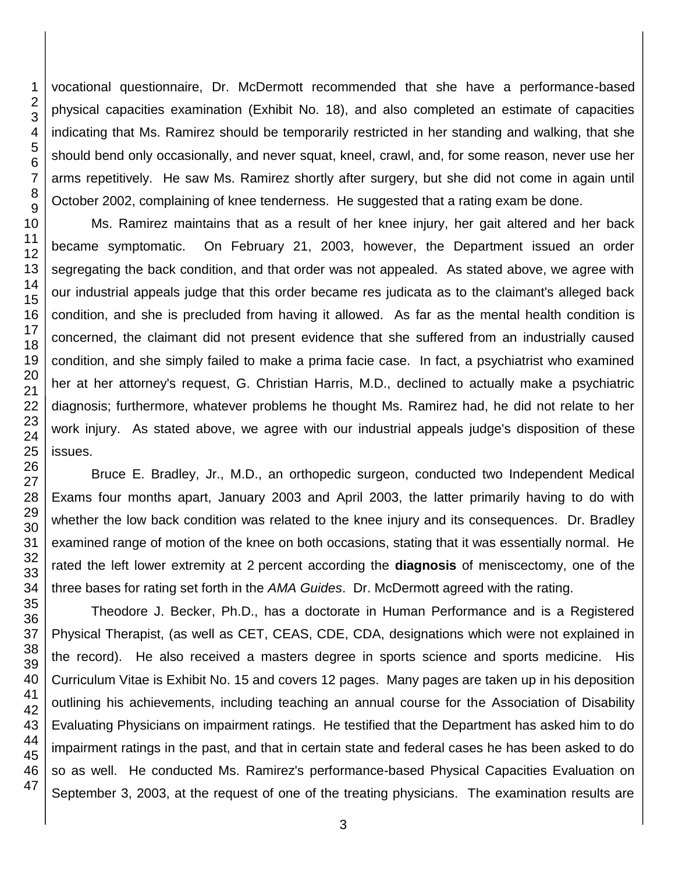1 2 vocational questionnaire, Dr. McDermott recommended that she have a performance-based physical capacities examination (Exhibit No. 18), and also completed an estimate of capacities indicating that Ms. Ramirez should be temporarily restricted in her standing and walking, that she should bend only occasionally, and never squat, kneel, crawl, and, for some reason, never use her arms repetitively. He saw Ms. Ramirez shortly after surgery, but she did not come in again until October 2002, complaining of knee tenderness. He suggested that a rating exam be done.

Ms. Ramirez maintains that as a result of her knee injury, her gait altered and her back became symptomatic. On February 21, 2003, however, the Department issued an order segregating the back condition, and that order was not appealed. As stated above, we agree with our industrial appeals judge that this order became res judicata as to the claimant's alleged back condition, and she is precluded from having it allowed. As far as the mental health condition is concerned, the claimant did not present evidence that she suffered from an industrially caused condition, and she simply failed to make a prima facie case. In fact, a psychiatrist who examined her at her attorney's request, G. Christian Harris, M.D., declined to actually make a psychiatric diagnosis; furthermore, whatever problems he thought Ms. Ramirez had, he did not relate to her work injury. As stated above, we agree with our industrial appeals judge's disposition of these

Bruce E. Bradley, Jr., M.D., an orthopedic surgeon, conducted two Independent Medical Exams four months apart, January 2003 and April 2003, the latter primarily having to do with whether the low back condition was related to the knee injury and its consequences. Dr. Bradley examined range of motion of the knee on both occasions, stating that it was essentially normal. He rated the left lower extremity at 2 percent according the **diagnosis** of meniscectomy, one of the three bases for rating set forth in the *AMA Guides*. Dr. McDermott agreed with the rating.

Theodore J. Becker, Ph.D., has a doctorate in Human Performance and is a Registered Physical Therapist, (as well as CET, CEAS, CDE, CDA, designations which were not explained in the record). He also received a masters degree in sports science and sports medicine. His Curriculum Vitae is Exhibit No. 15 and covers 12 pages. Many pages are taken up in his deposition outlining his achievements, including teaching an annual course for the Association of Disability Evaluating Physicians on impairment ratings. He testified that the Department has asked him to do impairment ratings in the past, and that in certain state and federal cases he has been asked to do so as well. He conducted Ms. Ramirez's performance-based Physical Capacities Evaluation on September 3, 2003, at the request of one of the treating physicians. The examination results are

3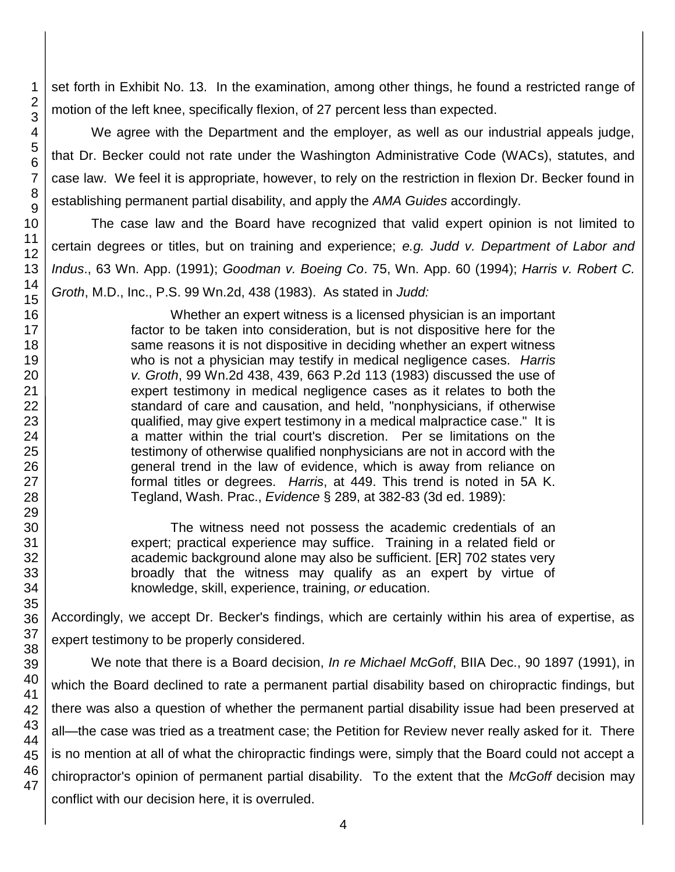set forth in Exhibit No. 13. In the examination, among other things, he found a restricted range of motion of the left knee, specifically flexion, of 27 percent less than expected.

We agree with the Department and the employer, as well as our industrial appeals judge, that Dr. Becker could not rate under the Washington Administrative Code (WACs), statutes, and case law. We feel it is appropriate, however, to rely on the restriction in flexion Dr. Becker found in establishing permanent partial disability, and apply the *AMA Guides* accordingly.

The case law and the Board have recognized that valid expert opinion is not limited to certain degrees or titles, but on training and experience; *e.g. Judd v. Department of Labor and Indus*., 63 Wn. App. (1991); *Goodman v. Boeing Co*. 75, Wn. App. 60 (1994); *Harris v. Robert C. Groth*, M.D., Inc., P.S. 99 Wn.2d, 438 (1983). As stated in *Judd:*

> Whether an expert witness is a licensed physician is an important factor to be taken into consideration, but is not dispositive here for the same reasons it is not dispositive in deciding whether an expert witness who is not a physician may testify in medical negligence cases. *Harris v. Groth*, 99 Wn.2d 438, 439, 663 P.2d 113 (1983) discussed the use of expert testimony in medical negligence cases as it relates to both the standard of care and causation, and held, "nonphysicians, if otherwise qualified, may give expert testimony in a medical malpractice case." It is a matter within the trial court's discretion. Per se limitations on the testimony of otherwise qualified nonphysicians are not in accord with the general trend in the law of evidence, which is away from reliance on formal titles or degrees. *Harris*, at 449. This trend is noted in 5A K. Tegland, Wash. Prac., *Evidence* § 289, at 382-83 (3d ed. 1989):

> The witness need not possess the academic credentials of an expert; practical experience may suffice. Training in a related field or academic background alone may also be sufficient. [ER] 702 states very broadly that the witness may qualify as an expert by virtue of knowledge, skill, experience, training, *or* education.

Accordingly, we accept Dr. Becker's findings, which are certainly within his area of expertise, as expert testimony to be properly considered.

We note that there is a Board decision, *In re Michael McGoff*, BIIA Dec., 90 1897 (1991), in which the Board declined to rate a permanent partial disability based on chiropractic findings, but there was also a question of whether the permanent partial disability issue had been preserved at all—the case was tried as a treatment case; the Petition for Review never really asked for it. There is no mention at all of what the chiropractic findings were, simply that the Board could not accept a chiropractor's opinion of permanent partial disability. To the extent that the *McGoff* decision may conflict with our decision here, it is overruled.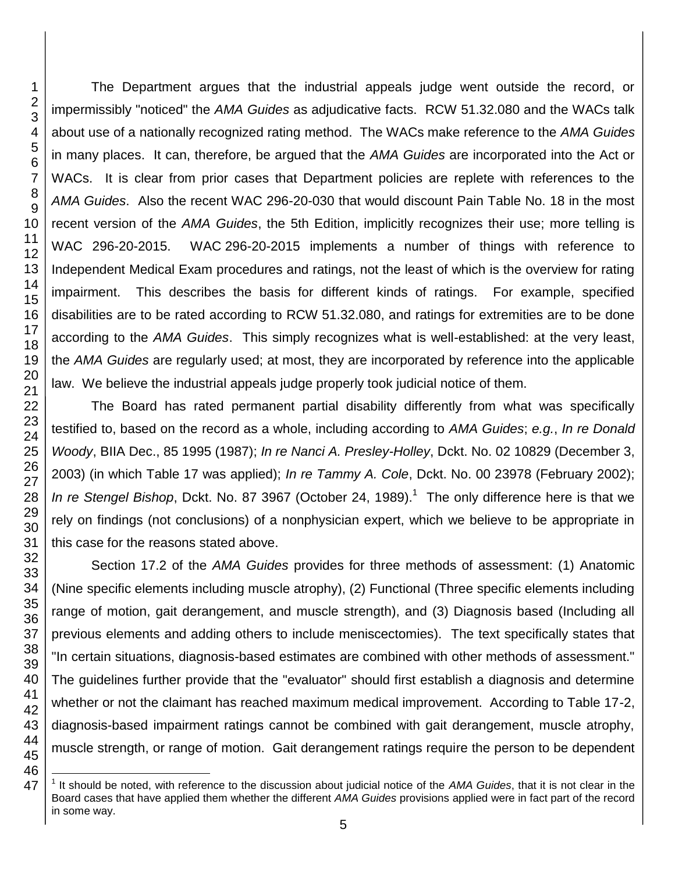$\overline{\phantom{a}}$ 

The Department argues that the industrial appeals judge went outside the record, or impermissibly "noticed" the *AMA Guides* as adjudicative facts. RCW 51.32.080 and the WACs talk about use of a nationally recognized rating method. The WACs make reference to the *AMA Guides* in many places. It can, therefore, be argued that the *AMA Guides* are incorporated into the Act or WACs. It is clear from prior cases that Department policies are replete with references to the *AMA Guides*. Also the recent WAC 296-20-030 that would discount Pain Table No. 18 in the most recent version of the *AMA Guides*, the 5th Edition, implicitly recognizes their use; more telling is WAC 296-20-2015. WAC 296-20-2015 implements a number of things with reference to Independent Medical Exam procedures and ratings, not the least of which is the overview for rating impairment. This describes the basis for different kinds of ratings. For example, specified disabilities are to be rated according to RCW 51.32.080, and ratings for extremities are to be done according to the *AMA Guides*. This simply recognizes what is well-established: at the very least, the *AMA Guides* are regularly used; at most, they are incorporated by reference into the applicable law. We believe the industrial appeals judge properly took judicial notice of them.

The Board has rated permanent partial disability differently from what was specifically testified to, based on the record as a whole, including according to *AMA Guides*; *e.g.*, *In re Donald Woody*, BIIA Dec., 85 1995 (1987); *In re Nanci A. Presley-Holley*, Dckt. No. 02 10829 (December 3, 2003) (in which Table 17 was applied); *In re Tammy A. Cole*, Dckt. No. 00 23978 (February 2002); In re Stengel Bishop, Dckt. No. 87 3967 (October 24, 1989).<sup>1</sup> The only difference here is that we rely on findings (not conclusions) of a nonphysician expert, which we believe to be appropriate in this case for the reasons stated above.

Section 17.2 of the *AMA Guides* provides for three methods of assessment: (1) Anatomic (Nine specific elements including muscle atrophy), (2) Functional (Three specific elements including range of motion, gait derangement, and muscle strength), and (3) Diagnosis based (Including all previous elements and adding others to include meniscectomies). The text specifically states that "In certain situations, diagnosis-based estimates are combined with other methods of assessment." The guidelines further provide that the "evaluator" should first establish a diagnosis and determine whether or not the claimant has reached maximum medical improvement. According to Table 17-2, diagnosis-based impairment ratings cannot be combined with gait derangement, muscle atrophy, muscle strength, or range of motion. Gait derangement ratings require the person to be dependent

<sup>&</sup>lt;sup>1</sup> It should be noted, with reference to the discussion about judicial notice of the AMA Guides, that it is not clear in the Board cases that have applied them whether the different *AMA Guides* provisions applied were in fact part of the record in some way.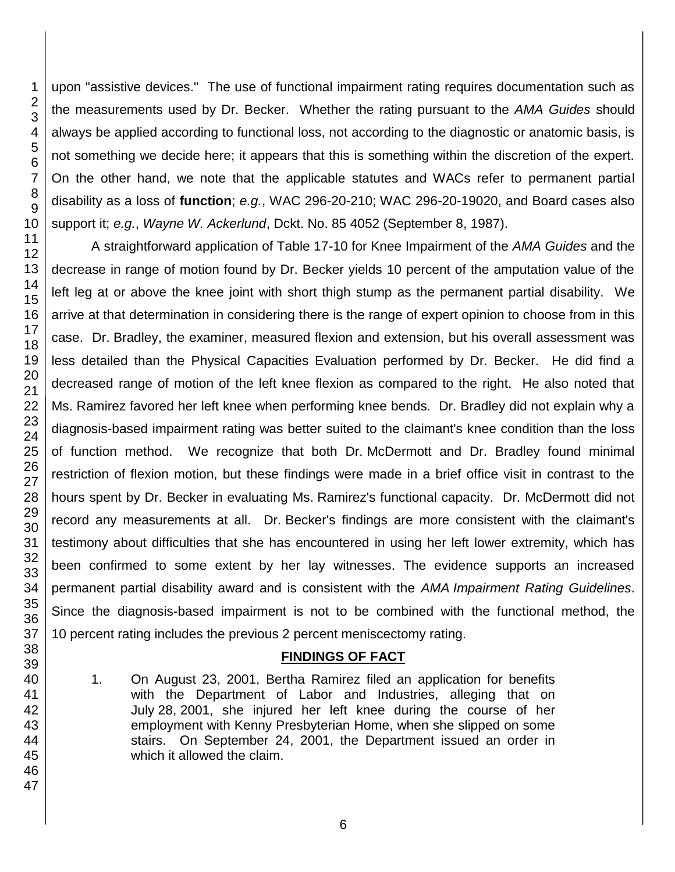upon "assistive devices." The use of functional impairment rating requires documentation such as the measurements used by Dr. Becker. Whether the rating pursuant to the *AMA Guides* should always be applied according to functional loss, not according to the diagnostic or anatomic basis, is not something we decide here; it appears that this is something within the discretion of the expert. On the other hand, we note that the applicable statutes and WACs refer to permanent partial disability as a loss of **function**; *e.g.*, WAC 296-20-210; WAC 296-20-19020, and Board cases also support it; *e.g.*, *Wayne W. Ackerlund*, Dckt. No. 85 4052 (September 8, 1987).

A straightforward application of Table 17-10 for Knee Impairment of the *AMA Guides* and the decrease in range of motion found by Dr. Becker yields 10 percent of the amputation value of the left leg at or above the knee joint with short thigh stump as the permanent partial disability. We arrive at that determination in considering there is the range of expert opinion to choose from in this case. Dr. Bradley, the examiner, measured flexion and extension, but his overall assessment was less detailed than the Physical Capacities Evaluation performed by Dr. Becker. He did find a decreased range of motion of the left knee flexion as compared to the right. He also noted that Ms. Ramirez favored her left knee when performing knee bends. Dr. Bradley did not explain why a diagnosis-based impairment rating was better suited to the claimant's knee condition than the loss of function method. We recognize that both Dr. McDermott and Dr. Bradley found minimal restriction of flexion motion, but these findings were made in a brief office visit in contrast to the hours spent by Dr. Becker in evaluating Ms. Ramirez's functional capacity. Dr. McDermott did not record any measurements at all. Dr. Becker's findings are more consistent with the claimant's testimony about difficulties that she has encountered in using her left lower extremity, which has been confirmed to some extent by her lay witnesses. The evidence supports an increased permanent partial disability award and is consistent with the *AMA Impairment Rating Guidelines*. Since the diagnosis-based impairment is not to be combined with the functional method, the percent rating includes the previous 2 percent meniscectomy rating.

## **FINDINGS OF FACT**

1. On August 23, 2001, Bertha Ramirez filed an application for benefits with the Department of Labor and Industries, alleging that on July 28, 2001, she injured her left knee during the course of her employment with Kenny Presbyterian Home, when she slipped on some stairs. On September 24, 2001, the Department issued an order in which it allowed the claim.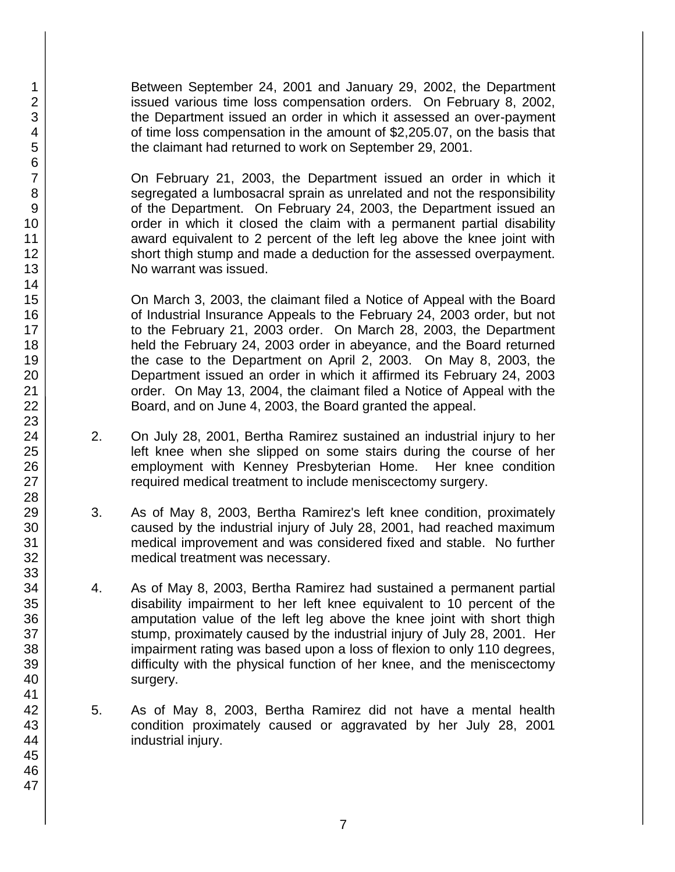Between September 24, 2001 and January 29, 2002, the Department issued various time loss compensation orders. On February 8, 2002, the Department issued an order in which it assessed an over-payment of time loss compensation in the amount of \$2,205.07, on the basis that the claimant had returned to work on September 29, 2001.

On February 21, 2003, the Department issued an order in which it segregated a lumbosacral sprain as unrelated and not the responsibility of the Department. On February 24, 2003, the Department issued an order in which it closed the claim with a permanent partial disability award equivalent to 2 percent of the left leg above the knee joint with short thigh stump and made a deduction for the assessed overpayment. No warrant was issued.

On March 3, 2003, the claimant filed a Notice of Appeal with the Board of Industrial Insurance Appeals to the February 24, 2003 order, but not to the February 21, 2003 order. On March 28, 2003, the Department held the February 24, 2003 order in abeyance, and the Board returned the case to the Department on April 2, 2003. On May 8, 2003, the Department issued an order in which it affirmed its February 24, 2003 order. On May 13, 2004, the claimant filed a Notice of Appeal with the Board, and on June 4, 2003, the Board granted the appeal.

- 2. On July 28, 2001, Bertha Ramirez sustained an industrial injury to her left knee when she slipped on some stairs during the course of her employment with Kenney Presbyterian Home. Her knee condition required medical treatment to include meniscectomy surgery.
- 3. As of May 8, 2003, Bertha Ramirez's left knee condition, proximately caused by the industrial injury of July 28, 2001, had reached maximum medical improvement and was considered fixed and stable. No further medical treatment was necessary.
- 4. As of May 8, 2003, Bertha Ramirez had sustained a permanent partial disability impairment to her left knee equivalent to 10 percent of the amputation value of the left leg above the knee joint with short thigh stump, proximately caused by the industrial injury of July 28, 2001. Her impairment rating was based upon a loss of flexion to only 110 degrees, difficulty with the physical function of her knee, and the meniscectomy surgery.
- 5. As of May 8, 2003, Bertha Ramirez did not have a mental health condition proximately caused or aggravated by her July 28, 2001 industrial injury.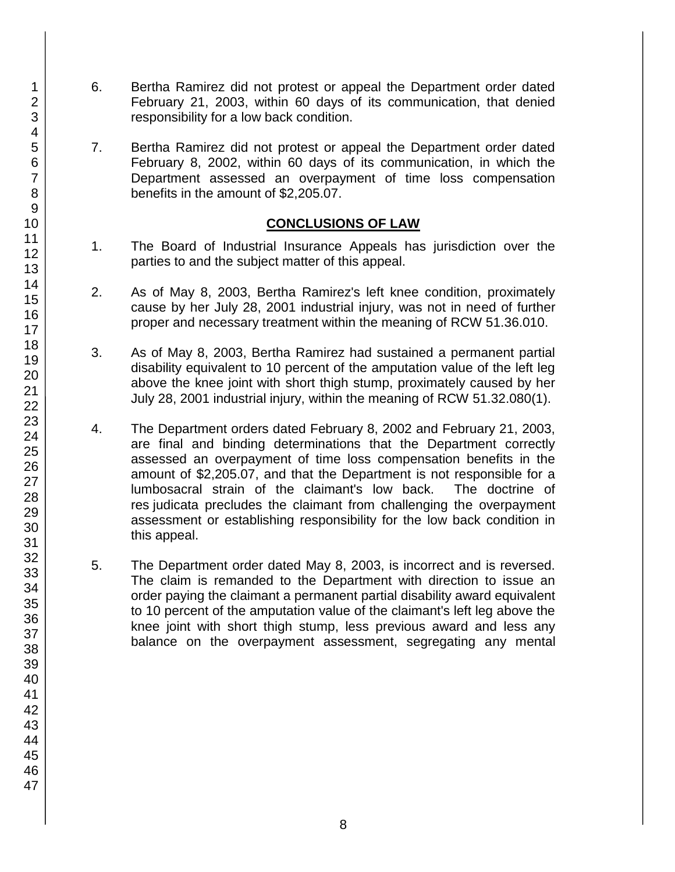- 6. Bertha Ramirez did not protest or appeal the Department order dated February 21, 2003, within 60 days of its communication, that denied responsibility for a low back condition.
- 7. Bertha Ramirez did not protest or appeal the Department order dated February 8, 2002, within 60 days of its communication, in which the Department assessed an overpayment of time loss compensation benefits in the amount of \$2,205.07.

## **CONCLUSIONS OF LAW**

- 1. The Board of Industrial Insurance Appeals has jurisdiction over the parties to and the subject matter of this appeal.
- 2. As of May 8, 2003, Bertha Ramirez's left knee condition, proximately cause by her July 28, 2001 industrial injury, was not in need of further proper and necessary treatment within the meaning of RCW 51.36.010.
- 3. As of May 8, 2003, Bertha Ramirez had sustained a permanent partial disability equivalent to 10 percent of the amputation value of the left leg above the knee joint with short thigh stump, proximately caused by her July 28, 2001 industrial injury, within the meaning of RCW 51.32.080(1).
- 4. The Department orders dated February 8, 2002 and February 21, 2003, are final and binding determinations that the Department correctly assessed an overpayment of time loss compensation benefits in the amount of \$2,205.07, and that the Department is not responsible for a lumbosacral strain of the claimant's low back. The doctrine of res judicata precludes the claimant from challenging the overpayment assessment or establishing responsibility for the low back condition in this appeal.
- 5. The Department order dated May 8, 2003, is incorrect and is reversed. The claim is remanded to the Department with direction to issue an order paying the claimant a permanent partial disability award equivalent to 10 percent of the amputation value of the claimant's left leg above the knee joint with short thigh stump, less previous award and less any balance on the overpayment assessment, segregating any mental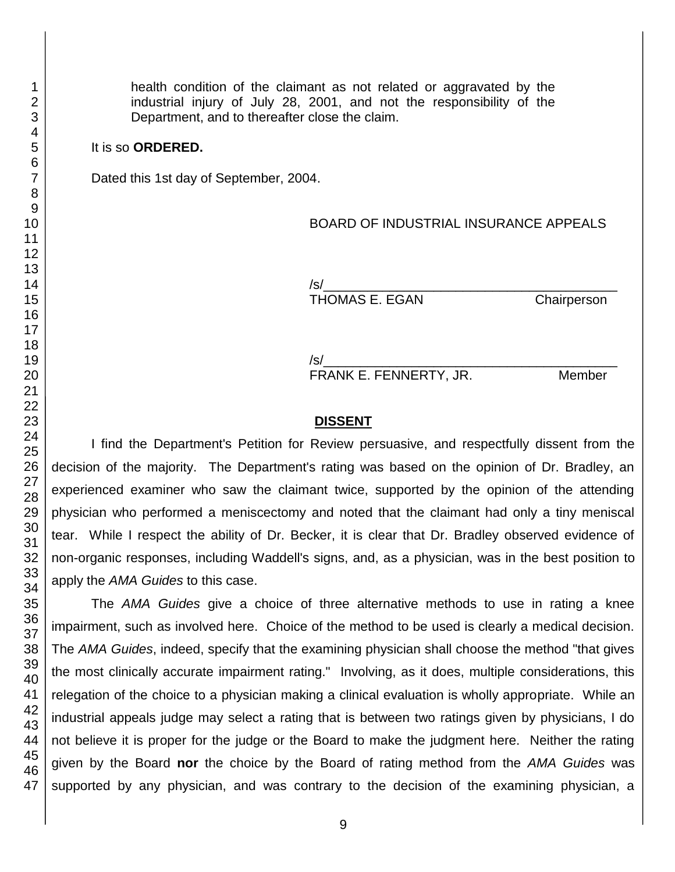health condition of the claimant as not related or aggravated by the industrial injury of July 28, 2001, and not the responsibility of the Department, and to thereafter close the claim.

### It is so **ORDERED.**

Dated this 1st day of September, 2004.

#### BOARD OF INDUSTRIAL INSURANCE APPEALS

/s/\_\_\_\_\_\_\_\_\_\_\_\_\_\_\_\_\_\_\_\_\_\_\_\_\_\_\_\_\_\_\_\_\_\_\_\_\_\_\_\_ THOMAS E. EGAN Chairperson

/s/\_\_\_\_\_\_\_\_\_\_\_\_\_\_\_\_\_\_\_\_\_\_\_\_\_\_\_\_\_\_\_\_\_\_\_\_\_\_\_\_

FRANK E. FENNERTY, JR. Member

#### **DISSENT**

I find the Department's Petition for Review persuasive, and respectfully dissent from the decision of the majority. The Department's rating was based on the opinion of Dr. Bradley, an experienced examiner who saw the claimant twice, supported by the opinion of the attending physician who performed a meniscectomy and noted that the claimant had only a tiny meniscal tear. While I respect the ability of Dr. Becker, it is clear that Dr. Bradley observed evidence of non-organic responses, including Waddell's signs, and, as a physician, was in the best position to apply the *AMA Guides* to this case.

The *AMA Guides* give a choice of three alternative methods to use in rating a knee impairment, such as involved here. Choice of the method to be used is clearly a medical decision. The *AMA Guides*, indeed, specify that the examining physician shall choose the method "that gives the most clinically accurate impairment rating." Involving, as it does, multiple considerations, this relegation of the choice to a physician making a clinical evaluation is wholly appropriate. While an industrial appeals judge may select a rating that is between two ratings given by physicians, I do not believe it is proper for the judge or the Board to make the judgment here. Neither the rating given by the Board **nor** the choice by the Board of rating method from the *AMA Guides* was supported by any physician, and was contrary to the decision of the examining physician, a